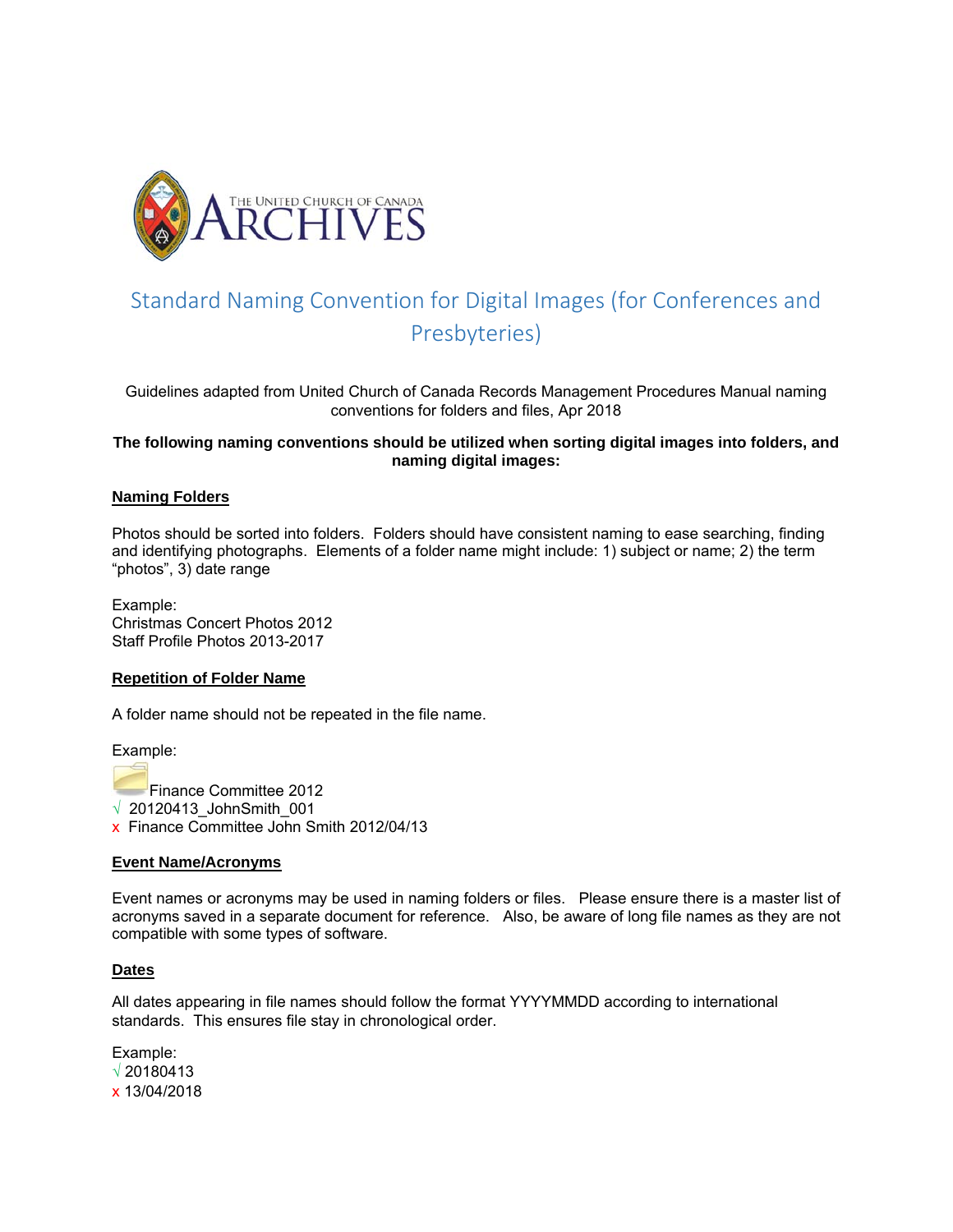

# Standard Naming Convention for Digital Images (for Conferences and Presbyteries)

Guidelines adapted from United Church of Canada Records Management Procedures Manual naming conventions for folders and files, Apr 2018

## **The following naming conventions should be utilized when sorting digital images into folders, and naming digital images:**

# **Naming Folders**

Photos should be sorted into folders. Folders should have consistent naming to ease searching, finding and identifying photographs. Elements of a folder name might include: 1) subject or name; 2) the term "photos", 3) date range

Example: Christmas Concert Photos 2012 Staff Profile Photos 2013-2017

## **Repetition of Folder Name**

A folder name should not be repeated in the file name.

Example:

Finance Committee 2012  $\sqrt{20120413}$  JohnSmith 001 x Finance Committee John Smith 2012/04/13

## **Event Name/Acronyms**

Event names or acronyms may be used in naming folders or files. Please ensure there is a master list of acronyms saved in a separate document for reference. Also, be aware of long file names as they are not compatible with some types of software.

# **Dates**

All dates appearing in file names should follow the format YYYYMMDD according to international standards. This ensures file stay in chronological order.

Example: √ 20180413 x 13/04/2018